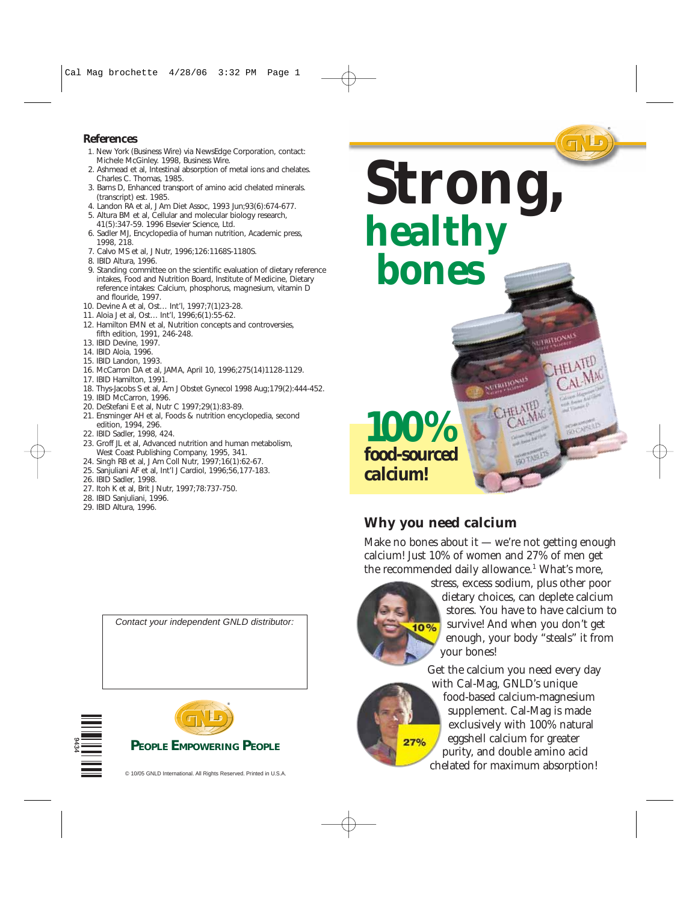## **References**

- 1. New York (Business Wire) via NewsEdge Corporation, contact: Michele McGinley. 1998, Business Wire.
- 2. Ashmead et al, Intestinal absorption of metal ions and chelates. Charles C. Thomas, 1985.
- 3. Barns D, Enhanced transport of amino acid chelated minerals. (transcript) est. 1985.
- 4. Landon RA et al, J Am Diet Assoc, 1993 Jun;93(6):674-677.
- 5. Altura BM et al, Cellular and molecular biology research, 41(5):347-59. 1996 Elsevier Science, Ltd.
- 6. Sadler MJ, Encyclopedia of human nutrition, Academic press, 1998, 218.
- 7. Calvo MS et al, J Nutr, 1996;126:1168S-1180S.
- 8. IBID Altura, 1996.
- 9. Standing committee on the scientific evaluation of dietary reference intakes, Food and Nutrition Board, Institute of Medicine, Dietary reference intakes: Calcium, phosphorus, magnesium, vitamin D and flouride, 1997.
- 10. Devine A et al, Ost… Int'l, 1997;7(1)23-28.
- 11. Aloia J et al, Ost… Int'l, 1996;6(1):55-62.
- 12. Hamilton EMN et al, Nutrition concepts and controversies, fifth edition, 1991, 246-248.
- 13. IBID Devine, 1997.
- 14. IBID Aloia, 1996.
- 15. IBID Landon, 1993.
- 16. McCarron DA et al, JAMA, April 10, 1996;275(14)1128-1129.
- 17. IBID Hamilton, 1991.
- 18. Thys-Jacobs S et al, Am J Obstet Gynecol 1998 Aug;179(2):444-452.
- 19. IBID McCarron, 1996.
- 20. DeStefani E et al, Nutr C 1997;29(1):83-89.
- 21. Ensminger AH et al, Foods & nutrition encyclopedia, second edition, 1994, 296.
- 22. IBID Sadler, 1998, 424.
- 23. Groff JL et al, Advanced nutrition and human metabolism, West Coast Publishing Company, 1995, 341.
- 24. Singh RB et al, J Am Coll Nutr, 1997;16(1):62-67.
- 25. Sanjuliani AF et al, Int'l J Cardiol, 1996;56,177-183.
- 26. IBID Sadler, 1998.
- 27. Itoh K et al, Brit J Nutr, 1997;78:737-750.
- 28. IBID Sanjuliani, 1996.
- 29. IBID Altura, 1996.









## **Why you need calcium**

Make no bones about it  $-$  we're not getting enough calcium! Just 10% of women and 27% of men get the recommended daily allowance.<sup>1</sup> What's more,



 $27%$ 

stress, excess sodium, plus other poor dietary choices, can deplete calcium stores. You have to have calcium to survive! And when you don't get enough, your body "steals" it from your bones!

Get the calcium you need every day with Cal-Mag, GNLD's unique food-based calcium-magnesium supplement. Cal-Mag is made exclusively with 100% natural eggshell calcium for greater purity, and double amino acid chelated for maximum absorption!